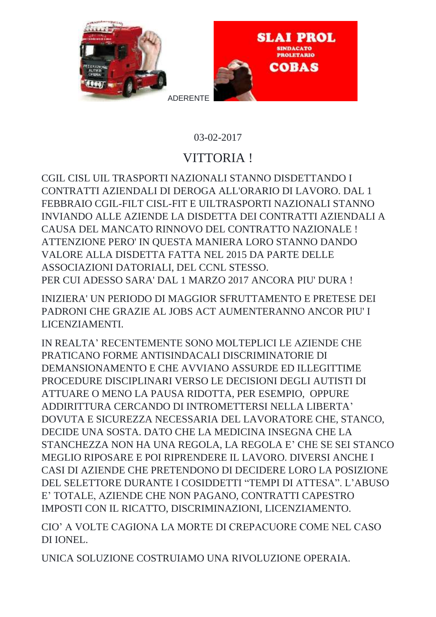

## 03-02-2017

## VITTORIA !

CGIL CISL UIL TRASPORTI NAZIONALI STANNO DISDETTANDO I CONTRATTI AZIENDALI DI DEROGA ALL'ORARIO DI LAVORO. DAL 1 FEBBRAIO CGIL-FILT CISL-FIT E UILTRASPORTI NAZIONALI STANNO INVIANDO ALLE AZIENDE LA DISDETTA DEI CONTRATTI AZIENDALI A CAUSA DEL MANCATO RINNOVO DEL CONTRATTO NAZIONALE ! ATTENZIONE PERO' IN QUESTA MANIERA LORO STANNO DANDO VALORE ALLA DISDETTA FATTA NEL 2015 DA PARTE DELLE ASSOCIAZIONI DATORIALI, DEL CCNL STESSO. PER CUI ADESSO SARA' DAL 1 MARZO 2017 ANCORA PIU' DURA !

INIZIERA' UN PERIODO DI MAGGIOR SFRUTTAMENTO E PRETESE DEI PADRONI CHE GRAZIE AL JOBS ACT AUMENTERANNO ANCOR PIU' I LICENZIAMENTI.

IN REALTA' RECENTEMENTE SONO MOLTEPLICI LE AZIENDE CHE PRATICANO FORME ANTISINDACALI DISCRIMINATORIE DI DEMANSIONAMENTO E CHE AVVIANO ASSURDE ED ILLEGITTIME PROCEDURE DISCIPLINARI VERSO LE DECISIONI DEGLI AUTISTI DI ATTUARE O MENO LA PAUSA RIDOTTA, PER ESEMPIO, OPPURE ADDIRITTURA CERCANDO DI INTROMETTERSI NELLA LIBERTA' DOVUTA E SICUREZZA NECESSARIA DEL LAVORATORE CHE, STANCO, DECIDE UNA SOSTA. DATO CHE LA MEDICINA INSEGNA CHE LA STANCHEZZA NON HA UNA REGOLA, LA REGOLA E' CHE SE SEI STANCO MEGLIO RIPOSARE E POI RIPRENDERE IL LAVORO. DIVERSI ANCHE I CASI DI AZIENDE CHE PRETENDONO DI DECIDERE LORO LA POSIZIONE DEL SELETTORE DURANTE I COSIDDETTI "TEMPI DI ATTESA". L'ABUSO E' TOTALE, AZIENDE CHE NON PAGANO, CONTRATTI CAPESTRO IMPOSTI CON IL RICATTO, DISCRIMINAZIONI, LICENZIAMENTO.

CIO' A VOLTE CAGIONA LA MORTE DI CREPACUORE COME NEL CASO DI IONEL.

UNICA SOLUZIONE COSTRUIAMO UNA RIVOLUZIONE OPERAIA.